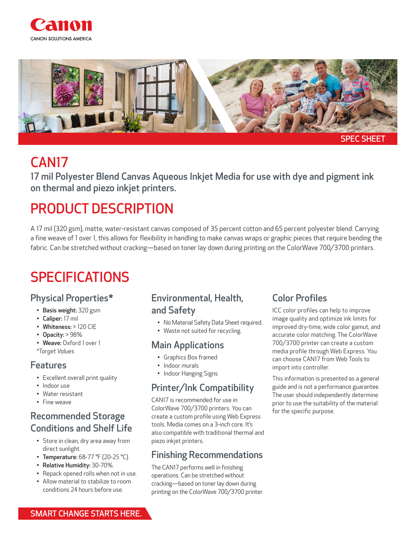



## CAN17

17 mil Polyester Blend Canvas Aqueous Inkjet Media for use with dye and pigment ink on thermal and piezo inkjet printers.

# PRODUCT DESCRIPTION

A 17 mil (320 gsm), matte, water-resistant canvas composed of 35 percent cotton and 65 percent polyester blend. Carrying a fine weave of 1 over 1, this allows for flexibility in handling to make canvas wraps or graphic pieces that require bending the fabric. Can be stretched without cracking—based on toner lay down during printing on the ColorWave 700/3700 printers.

## SPECIFICATIONS

## Physical Properties\*

- Basis weight: 320 gsm
- Caliper: 17 mil
- Whiteness: > 120 CIE
- Opacity: > 98%
- Weave: Oxford 1 over 1 *\*Target Values*

#### Features

- Excellent overall print quality
- Indoor use
- Water resistant
- Fine weave

### Recommended Storage Conditions and Shelf Life

- Store in clean, dry area away from direct sunlight.
- Temperature: 68-77 °F (20-25 °C).
- Relative Humidity: 30-70%.
- Repack opened rolls when not in use.
- Allow material to stabilize to room conditions 24 hours before use.

#### Environmental, Health, and Safety

- No Material Safety Data Sheet required.
- Waste not suited for recycling.

#### Main Applications

- Graphics Box framed
- Indoor murals
- Indoor Hanging Signs

#### Printer/Ink Compatibility

CAN17 is recommended for use in ColorWave 700/3700 printers. You can create a custom profile using Web Express tools. Media comes on a 3-inch core. It's also compatible with traditional thermal and piezo inkjet printers.

#### Finishing Recommendations

The CAN17 performs well in finishing operations. Can be stretched without cracking—based on toner lay down during printing on the ColorWave 700/3700 printer.

#### Color Profiles

ICC color profiles can help to improve image quality and optimize ink limits for improved dry-time, wide color gamut, and accurate color matching. The ColorWave 700/3700 printer can create a custom media profile through Web Express. You can choose CAN17 from Web Tools to import into controller.

This information is presented as a general guide and is not a performance guarantee. The user should independently determine prior to use the suitability of the material for the specific purpose.